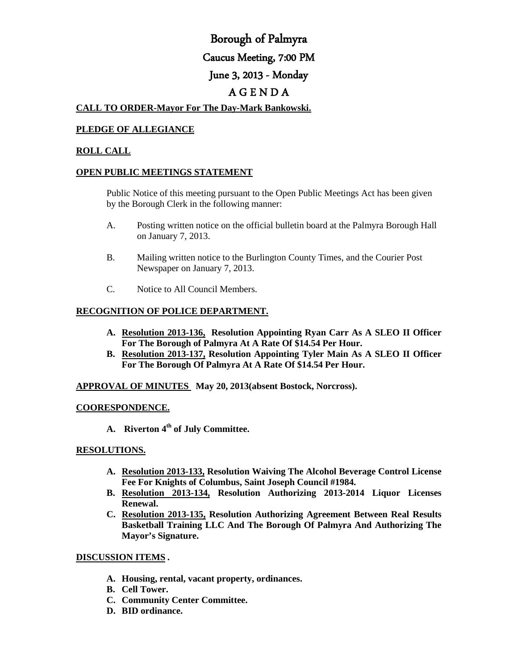# Borough of Palmyra Caucus Meeting, 7:00 PM June 3, 2013 - Monday A G E N D A

## **CALL TO ORDER-Mayor For The Day-Mark Bankowski.**

# **PLEDGE OF ALLEGIANCE**

#### **ROLL CALL**

#### **OPEN PUBLIC MEETINGS STATEMENT**

Public Notice of this meeting pursuant to the Open Public Meetings Act has been given by the Borough Clerk in the following manner:

- A. Posting written notice on the official bulletin board at the Palmyra Borough Hall on January 7, 2013.
- B. Mailing written notice to the Burlington County Times, and the Courier Post Newspaper on January 7, 2013.
- C. Notice to All Council Members.

## **RECOGNITION OF POLICE DEPARTMENT.**

- **A. Resolution 2013-136, Resolution Appointing Ryan Carr As A SLEO II Officer For The Borough of Palmyra At A Rate Of \$14.54 Per Hour.**
- **B. Resolution 2013-137, Resolution Appointing Tyler Main As A SLEO II Officer For The Borough Of Palmyra At A Rate Of \$14.54 Per Hour.**

**APPROVAL OF MINUTES May 20, 2013(absent Bostock, Norcross).**

### **COORESPONDENCE.**

**A. Riverton 4th of July Committee.**

### **RESOLUTIONS.**

- **A. Resolution 2013-133, Resolution Waiving The Alcohol Beverage Control License Fee For Knights of Columbus, Saint Joseph Council #1984.**
- **B. Resolution 2013-134, Resolution Authorizing 2013-2014 Liquor Licenses Renewal.**
- **C. Resolution 2013-135, Resolution Authorizing Agreement Between Real Results Basketball Training LLC And The Borough Of Palmyra And Authorizing The Mayor's Signature.**

#### **DISCUSSION ITEMS .**

- **A. Housing, rental, vacant property, ordinances.**
- **B. Cell Tower.**
- **C. Community Center Committee.**
- **D. BID ordinance.**